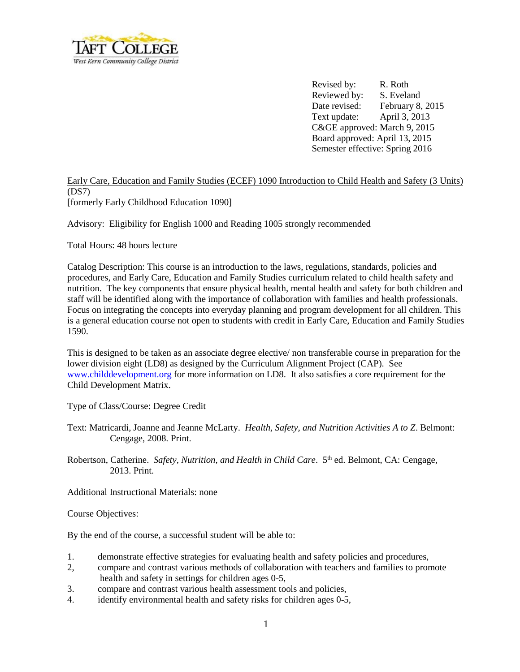

Revised by: R. Roth Reviewed by: S. Eveland Date revised: February 8, 2015 Text update: April 3, 2013 C&GE approved: March 9, 2015 Board approved: April 13, 2015 Semester effective: Spring 2016

## Early Care, Education and Family Studies (ECEF) 1090 Introduction to Child Health and Safety (3 Units) (DS7) [formerly Early Childhood Education 1090]

Advisory: Eligibility for English 1000 and Reading 1005 strongly recommended

Total Hours: 48 hours lecture

Catalog Description: This course is an introduction to the laws, regulations, standards, policies and procedures, and Early Care, Education and Family Studies curriculum related to child health safety and nutrition. The key components that ensure physical health, mental health and safety for both children and staff will be identified along with the importance of collaboration with families and health professionals. Focus on integrating the concepts into everyday planning and program development for all children. This is a general education course not open to students with credit in Early Care, Education and Family Studies 1590.

This is designed to be taken as an associate degree elective/ non transferable course in preparation for the lower division eight (LD8) as designed by the Curriculum Alignment Project (CAP). See [www.childdevelopment.org](http://www.childdevelopment.org/) for more information on LD8. It also satisfies a core requirement for the Child Development Matrix.

Type of Class/Course: Degree Credit

- Text: Matricardi, Joanne and Jeanne McLarty. *Health, Safety, and Nutrition Activities A to Z*. Belmont: Cengage, 2008. Print.
- Robertson, Catherine. Safety, Nutrition, and Health in Child Care. 5<sup>th</sup> ed. Belmont, CA: Cengage, 2013. Print.

Additional Instructional Materials: none

Course Objectives:

By the end of the course, a successful student will be able to:

- 1. demonstrate effective strategies for evaluating health and safety policies and procedures,
- 2, compare and contrast various methods of collaboration with teachers and families to promote health and safety in settings for children ages 0-5,
- 3. compare and contrast various health assessment tools and policies,
- 4. identify environmental health and safety risks for children ages 0-5,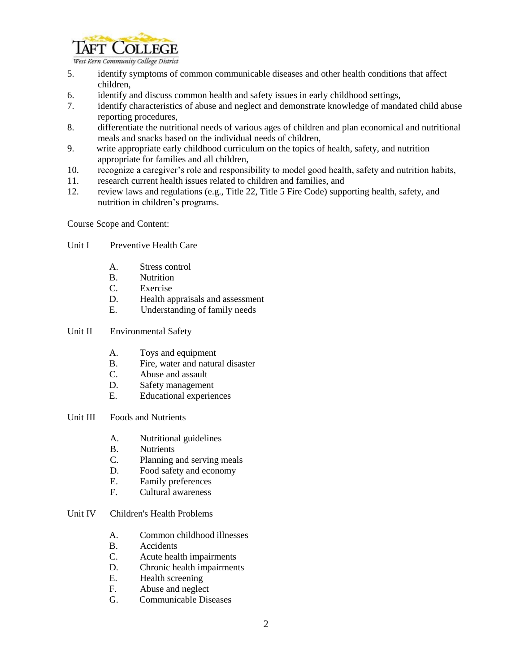

West Kern Community College District

- 5. identify symptoms of common communicable diseases and other health conditions that affect children,
- 6. identify and discuss common health and safety issues in early childhood settings,
- 7. identify characteristics of abuse and neglect and demonstrate knowledge of mandated child abuse reporting procedures,
- 8. differentiate the nutritional needs of various ages of children and plan economical and nutritional meals and snacks based on the individual needs of children,
- 9. write appropriate early childhood curriculum on the topics of health, safety, and nutrition appropriate for families and all children,
- 10. recognize a caregiver's role and responsibility to model good health, safety and nutrition habits,
- 11. research current health issues related to children and families, and
- 12. review laws and regulations (e.g., Title 22, Title 5 Fire Code) supporting health, safety, and nutrition in children's programs.

Course Scope and Content:

- Unit I Preventive Health Care
	- A. Stress control
	- B. Nutrition
	- C. Exercise
	- D. Health appraisals and assessment
	- E. Understanding of family needs
- Unit II Environmental Safety
	- A. Toys and equipment
	- B. Fire, water and natural disaster
	- C. Abuse and assault
	- D. Safety management
	- E. Educational experiences
- Unit III Foods and Nutrients
	- A. Nutritional guidelines
	- B. Nutrients
	- C. Planning and serving meals
	- D. Food safety and economy
	- E. Family preferences
	- F. Cultural awareness

## Unit IV Children's Health Problems

- A. Common childhood illnesses
- B. Accidents
- C. Acute health impairments
- D. Chronic health impairments
- E. Health screening
- F. Abuse and neglect
- G. Communicable Diseases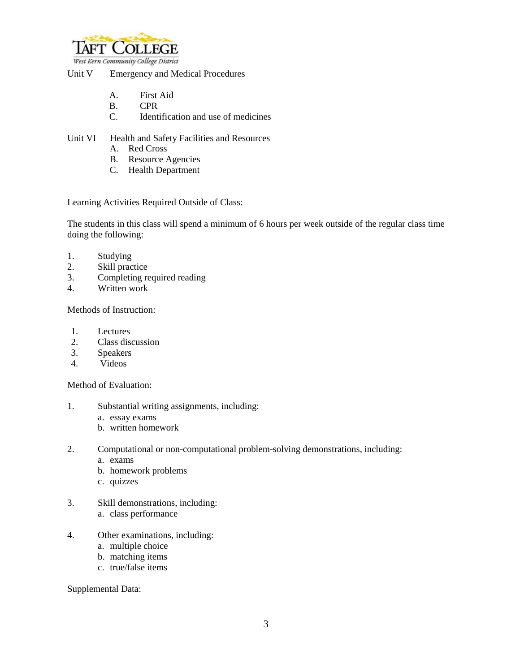

## Unit V Emergency and Medical Procedures

- A. First Aid
- B. CPR
- C. Identification and use of medicines
- Unit VI Health and Safety Facilities and Resources
	- A. Red Cross
	- B. Resource Agencies
	- C. Health Department

Learning Activities Required Outside of Class:

The students in this class will spend a minimum of 6 hours per week outside of the regular class time doing the following:

- 1. Studying<br>2. Skill prac
- Skill practice
- 3. Completing required reading
- 4. Written work

Methods of Instruction:

- 1. Lectures
- 2. Class discussion
- 3. Speakers
- 4. Videos

Method of Evaluation:

- 1. Substantial writing assignments, including:
	- a. essay exams
	- b. written homework
- 2. Computational or non-computational problem-solving demonstrations, including:
	- a. exams
	- b. homework problems
	- c. quizzes
- 3. Skill demonstrations, including: a. class performance
- 4. Other examinations, including:
	- a. multiple choice
	- b. matching items
	- c. true/false items

Supplemental Data: